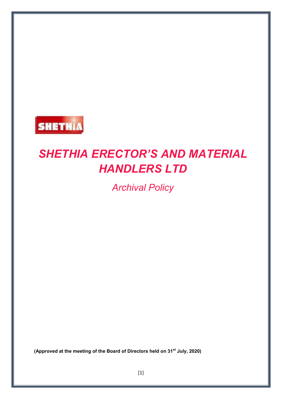

# *SHETHIA ERECTOR'S AND MATERIAL HANDLERS LTD*

*Archival Policy* 

**(Approved at the meeting of the Board of Directors held on 31st July, 2020)**